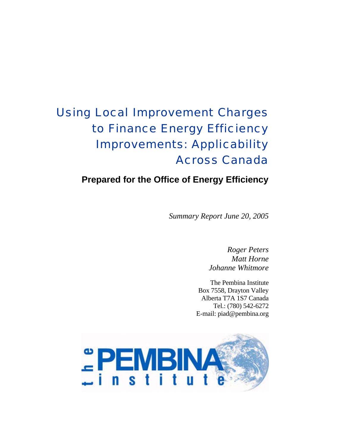# Using Local Improvement Charges to Finance Energy Efficiency Improvements: Applicability Across Canada

# **Prepared for the Office of Energy Efficiency**

*Summary Report June 20, 2005* 

*Roger Peters Matt Horne Johanne Whitmore* 

The Pembina Institute Box 7558, Drayton Valley Alberta T7A 1S7 Canada Tel.: (780) 542-6272 E-mail: piad@pembina.org

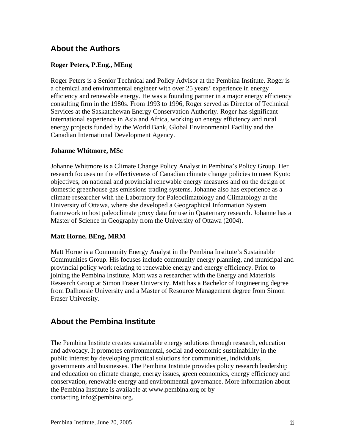### **About the Authors**

#### **Roger Peters, P.Eng., MEng**

Roger Peters is a Senior Technical and Policy Advisor at the Pembina Institute. Roger is a chemical and environmental engineer with over 25 years' experience in energy efficiency and renewable energy. He was a founding partner in a major energy efficiency consulting firm in the 1980s. From 1993 to 1996, Roger served as Director of Technical Services at the Saskatchewan Energy Conservation Authority. Roger has significant international experience in Asia and Africa, working on energy efficiency and rural energy projects funded by the World Bank, Global Environmental Facility and the Canadian International Development Agency.

#### **Johanne Whitmore, MSc**

Johanne Whitmore is a Climate Change Policy Analyst in Pembina's Policy Group. Her research focuses on the effectiveness of Canadian climate change policies to meet Kyoto objectives, on national and provincial renewable energy measures and on the design of domestic greenhouse gas emissions trading systems. Johanne also has experience as a climate researcher with the Laboratory for Paleoclimatology and Climatology at the University of Ottawa, where she developed a Geographical Information System framework to host paleoclimate proxy data for use in Quaternary research. Johanne has a Master of Science in Geography from the University of Ottawa (2004).

#### **Matt Horne, BEng, MRM**

Matt Horne is a Community Energy Analyst in the Pembina Institute's Sustainable Communities Group. His focuses include community energy planning, and municipal and provincial policy work relating to renewable energy and energy efficiency. Prior to joining the Pembina Institute, Matt was a researcher with the Energy and Materials Research Group at Simon Fraser University. Matt has a Bachelor of Engineering degree from Dalhousie University and a Master of Resource Management degree from Simon Fraser University.

### **About the Pembina Institute**

The Pembina Institute creates sustainable energy solutions through research, education and advocacy. It promotes environmental, social and economic sustainability in the public interest by developing practical solutions for communities, individuals, governments and businesses. The Pembina Institute provides policy research leadership and education on climate change, energy issues, green economics, energy efficiency and conservation, renewable energy and environmental governance. More information about the Pembina Institute is available at www.pembina.org or by contacting info@pembina.org.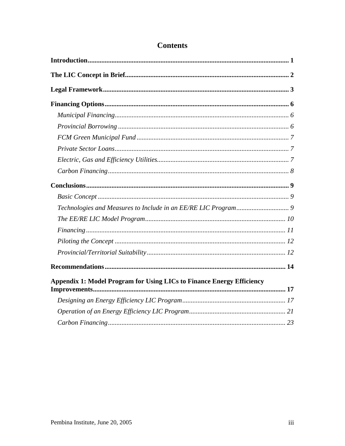| <b>Appendix 1: Model Program for Using LICs to Finance Energy Efficiency</b> |  |  |  |
|------------------------------------------------------------------------------|--|--|--|
|                                                                              |  |  |  |
|                                                                              |  |  |  |
|                                                                              |  |  |  |

# **Contents**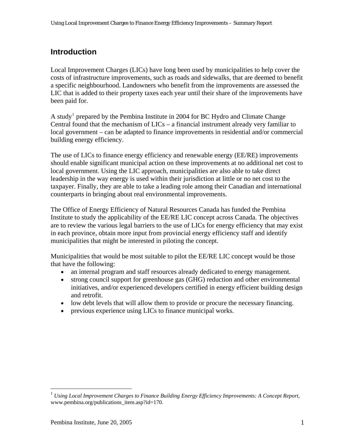# <span id="page-3-0"></span>**Introduction**

Local Improvement Charges (LICs) have long been used by municipalities to help cover the costs of infrastructure improvements, such as roads and sidewalks, that are deemed to benefit a specific neighbourhood. Landowners who benefit from the improvements are assessed the LIC that is added to their property taxes each year until their share of the improvements have been paid for.

A study<sup>[1](#page-3-1)</sup> prepared by the Pembina Institute in 2004 for BC Hydro and Climate Change Central found that the mechanism of LICs – a financial instrument already very familiar to local government – can be adapted to finance improvements in residential and/or commercial building energy efficiency.

The use of LICs to finance energy efficiency and renewable energy (EE/RE) improvements should enable significant municipal action on these improvements at no additional net cost to local government. Using the LIC approach, municipalities are also able to take direct leadership in the way energy is used within their jurisdiction at little or no net cost to the taxpayer. Finally, they are able to take a leading role among their Canadian and international counterparts in bringing about real environmental improvements.

The Office of Energy Efficiency of Natural Resources Canada has funded the Pembina Institute to study the applicability of the EE/RE LIC concept across Canada. The objectives are to review the various legal barriers to the use of LICs for energy efficiency that may exist in each province, obtain more input from provincial energy efficiency staff and identify municipalities that might be interested in piloting the concept.

Municipalities that would be most suitable to pilot the EE/RE LIC concept would be those that have the following:

- an internal program and staff resources already dedicated to energy management.
- strong council support for greenhouse gas (GHG) reduction and other environmental initiatives, and/or experienced developers certified in energy efficient building design and retrofit.
- low debt levels that will allow them to provide or procure the necessary financing.
- previous experience using LICs to finance municipal works.

 $\overline{a}$ 

<span id="page-3-1"></span><sup>1</sup> *Using Local Improvement Charges to Finance Building Energy Efficiency Improvements: A Concept Report*, www.pembina.org/publications\_item.asp?id=170**.**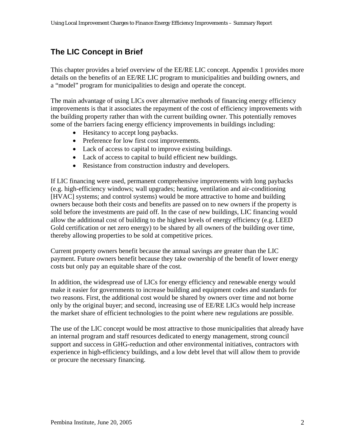# <span id="page-4-0"></span>**The LIC Concept in Brief**

This chapter provides a brief overview of the EE/RE LIC concept. Appendix 1 provides more details on the benefits of an EE/RE LIC program to municipalities and building owners, and a "model" program for municipalities to design and operate the concept.

The main advantage of using LICs over alternative methods of financing energy efficiency improvements is that it associates the repayment of the cost of efficiency improvements with the building property rather than with the current building owner. This potentially removes some of the barriers facing energy efficiency improvements in buildings including:

- Hesitancy to accept long paybacks.
- Preference for low first cost improvements.
- Lack of access to capital to improve existing buildings.
- Lack of access to capital to build efficient new buildings.
- Resistance from construction industry and developers.

If LIC financing were used, permanent comprehensive improvements with long paybacks (e.g. high-efficiency windows; wall upgrades; heating, ventilation and air-conditioning [HVAC] systems; and control systems) would be more attractive to home and building owners because both their costs and benefits are passed on to new owners if the property is sold before the investments are paid off. In the case of new buildings, LIC financing would allow the additional cost of building to the highest levels of energy efficiency (e.g. LEED Gold certification or net zero energy) to be shared by all owners of the building over time, thereby allowing properties to be sold at competitive prices.

Current property owners benefit because the annual savings are greater than the LIC payment. Future owners benefit because they take ownership of the benefit of lower energy costs but only pay an equitable share of the cost.

In addition, the widespread use of LICs for energy efficiency and renewable energy would make it easier for governments to increase building and equipment codes and standards for two reasons. First, the additional cost would be shared by owners over time and not borne only by the original buyer; and second, increasing use of EE/RE LICs would help increase the market share of efficient technologies to the point where new regulations are possible.

The use of the LIC concept would be most attractive to those municipalities that already have an internal program and staff resources dedicated to energy management, strong council support and success in GHG-reduction and other environmental initiatives, contractors with experience in high-efficiency buildings, and a low debt level that will allow them to provide or procure the necessary financing.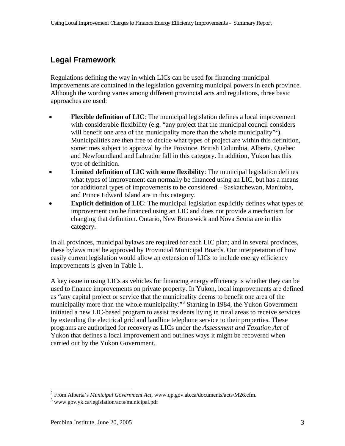# <span id="page-5-0"></span>**Legal Framework**

Regulations defining the way in which LICs can be used for financing municipal improvements are contained in the legislation governing municipal powers in each province. Although the wording varies among different provincial acts and regulations, three basic approaches are used:

- **Flexible definition of LIC**: The municipal legislation defines a local improvement with considerable flexibility (e.g. "any project that the municipal council considers will benefit one area of the municipality more than the whole municipality"<sup>[2](#page-5-0)</sup>). Municipalities are then free to decide what types of project are within this definition, sometimes subject to approval by the Province. British Columbia, Alberta, Quebec and Newfoundland and Labrador fall in this category. In addition, Yukon has this type of definition.
- **Limited definition of LIC with some flexibility**: The municipal legislation defines what types of improvement can normally be financed using an LIC, but has a means for additional types of improvements to be considered – Saskatchewan, Manitoba, and Prince Edward Island are in this category.
- **Explicit definition of LIC**: The municipal legislation explicitly defines what types of improvement can be financed using an LIC and does not provide a mechanism for changing that definition. Ontario, New Brunswick and Nova Scotia are in this category.

In all provinces, municipal bylaws are required for each LIC plan; and in several provinces, these bylaws must be approved by Provincial Municipal Boards. Our interpretation of how easily current legislation would allow an extension of LICs to include energy efficiency improvements is given in Table 1.

A key issue in using LICs as vehicles for financing energy efficiency is whether they can be used to finance improvements on private property. In Yukon, local improvements are defined as "any capital project or service that the municipality deems to benefit one area of the municipality more than the whole municipality."<sup>3</sup> Starting in 1984, the Yukon Government initiated a new LIC-based program to assist residents living in rural areas to receive services by extending the electrical grid and landline telephone service to their properties. These programs are authorized for recovery as LICs under the *Assessment and Taxation Act* of Yukon that defines a local improvement and outlines ways it might be recovered when carried out by the Yukon Government.

 2 From Alberta's *Municipal Government Act*, www.qp.gov.ab.ca/documents/acts/M26.cfm.

<sup>3</sup> www.gov.yk.ca/legislation/acts/municipal.pdf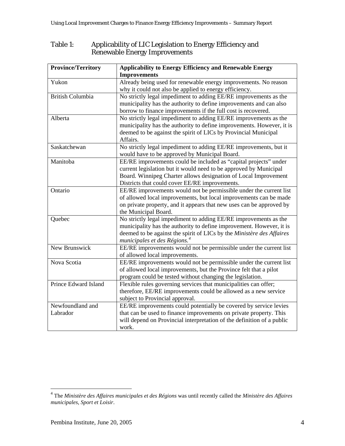#### <span id="page-6-0"></span>Table 1: Applicability of LIC Legislation to Energy Efficiency and Renewable Energy Improvements

| <b>Province/Territory</b> | <b>Applicability to Energy Efficiency and Renewable Energy</b>         |
|---------------------------|------------------------------------------------------------------------|
|                           | <b>Improvements</b>                                                    |
| Yukon                     | Already being used for renewable energy improvements. No reason        |
|                           | why it could not also be applied to energy efficiency.                 |
| <b>British Columbia</b>   | No strictly legal impediment to adding EE/RE improvements as the       |
|                           | municipality has the authority to define improvements and can also     |
|                           | borrow to finance improvements if the full cost is recovered.          |
| Alberta                   | No strictly legal impediment to adding EE/RE improvements as the       |
|                           | municipality has the authority to define improvements. However, it is  |
|                           | deemed to be against the spirit of LICs by Provincial Municipal        |
|                           | Affairs.                                                               |
| Saskatchewan              | No strictly legal impediment to adding EE/RE improvements, but it      |
|                           | would have to be approved by Municipal Board.                          |
| Manitoba                  | EE/RE improvements could be included as "capital projects" under       |
|                           | current legislation but it would need to be approved by Municipal      |
|                           | Board. Winnipeg Charter allows designation of Local Improvement        |
|                           | Districts that could cover EE/RE improvements.                         |
| Ontario                   | EE/RE improvements would not be permissible under the current list     |
|                           | of allowed local improvements, but local improvements can be made      |
|                           | on private property, and it appears that new uses can be approved by   |
|                           | the Municipal Board.                                                   |
| Quebec                    | No strictly legal impediment to adding EE/RE improvements as the       |
|                           | municipality has the authority to define improvement. However, it is   |
|                           | deemed to be against the spirit of LICs by the Ministère des Affaires  |
|                           | municipales et des Régions. <sup>4</sup>                               |
| New Brunswick             | EE/RE improvements would not be permissible under the current list     |
|                           | of allowed local improvements.                                         |
| Nova Scotia               | EE/RE improvements would not be permissible under the current list     |
|                           | of allowed local improvements, but the Province felt that a pilot      |
|                           | program could be tested without changing the legislation.              |
| Prince Edward Island      | Flexible rules governing services that municipalities can offer;       |
|                           | therefore, EE/RE improvements could be allowed as a new service        |
|                           | subject to Provincial approval.                                        |
| Newfoundland and          | EE/RE improvements could potentially be covered by service levies      |
| Labrador                  | that can be used to finance improvements on private property. This     |
|                           | will depend on Provincial interpretation of the definition of a public |
|                           | work.                                                                  |

 4 The *Ministère des Affaires municipales et des Régions* was until recently called the *Ministère des Affaires municipales, Sport et Loisir*.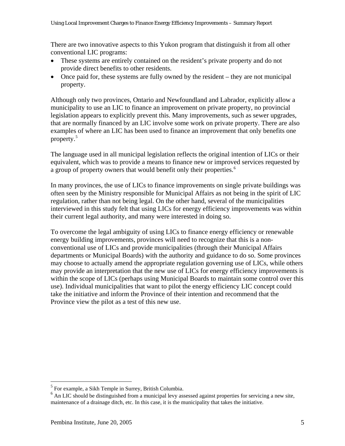<span id="page-7-0"></span>There are two innovative aspects to this Yukon program that distinguish it from all other conventional LIC programs:

- These systems are entirely contained on the resident's private property and do not provide direct benefits to other residents.
- Once paid for, these systems are fully owned by the resident they are not municipal property.

Although only two provinces, Ontario and Newfoundland and Labrador, explicitly allow a municipality to use an LIC to finance an improvement on private property, no provincial legislation appears to explicitly prevent this. Many improvements, such as sewer upgrades, that are normally financed by an LIC involve some work on private property. There are also examples of where an LIC has been used to finance an improvement that only benefits one property. $5$ 

The language used in all municipal legislation reflects the original intention of LICs or their equivalent, which was to provide a means to finance new or improved services requested by a group of property owners that would benefit only their properties.<sup>[6](#page-7-0)</sup>

In many provinces, the use of LICs to finance improvements on single private buildings was often seen by the Ministry responsible for Municipal Affairs as not being in the spirit of LIC regulation, rather than not being legal. On the other hand, several of the municipalities interviewed in this study felt that using LICs for energy efficiency improvements was within their current legal authority, and many were interested in doing so.

To overcome the legal ambiguity of using LICs to finance energy efficiency or renewable energy building improvements, provinces will need to recognize that this is a nonconventional use of LICs and provide municipalities (through their Municipal Affairs departments or Municipal Boards) with the authority and guidance to do so. Some provinces may choose to actually amend the appropriate regulation governing use of LICs, while others may provide an interpretation that the new use of LICs for energy efficiency improvements is within the scope of LICs (perhaps using Municipal Boards to maintain some control over this use). Individual municipalities that want to pilot the energy efficiency LIC concept could take the initiative and inform the Province of their intention and recommend that the Province view the pilot as a test of this new use.

 $\overline{a}$ 

<sup>5</sup> For example, a Sikh Temple in Surrey, British Columbia.

<sup>&</sup>lt;sup>6</sup> An LIC should be distinguished from a municipal levy assessed against properties for servicing a new site, maintenance of a drainage ditch, etc. In this case, it is the municipality that takes the initiative.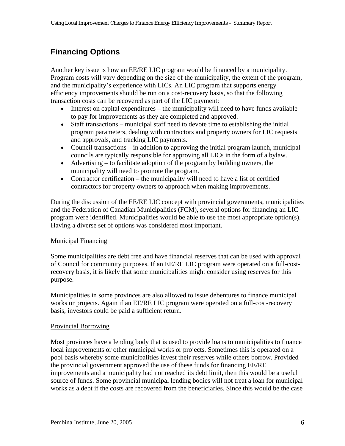# <span id="page-8-0"></span>**Financing Options**

Another key issue is how an EE/RE LIC program would be financed by a municipality. Program costs will vary depending on the size of the municipality, the extent of the program, and the municipality's experience with LICs. An LIC program that supports energy efficiency improvements should be run on a cost-recovery basis, so that the following transaction costs can be recovered as part of the LIC payment:

- Interest on capital expenditures the municipality will need to have funds available to pay for improvements as they are completed and approved.
- Staff transactions municipal staff need to devote time to establishing the initial program parameters, dealing with contractors and property owners for LIC requests and approvals, and tracking LIC payments.
- Council transactions in addition to approving the initial program launch, municipal councils are typically responsible for approving all LICs in the form of a bylaw.
- Advertising to facilitate adoption of the program by building owners, the municipality will need to promote the program.
- Contractor certification the municipality will need to have a list of certified contractors for property owners to approach when making improvements.

During the discussion of the EE/RE LIC concept with provincial governments, municipalities and the Federation of Canadian Municipalities (FCM), several options for financing an LIC program were identified. Municipalities would be able to use the most appropriate option(s). Having a diverse set of options was considered most important.

#### Municipal Financing

Some municipalities are debt free and have financial reserves that can be used with approval of Council for community purposes. If an EE/RE LIC program were operated on a full-costrecovery basis, it is likely that some municipalities might consider using reserves for this purpose.

Municipalities in some provinces are also allowed to issue debentures to finance municipal works or projects. Again if an EE/RE LIC program were operated on a full-cost-recovery basis, investors could be paid a sufficient return.

#### Provincial Borrowing

Most provinces have a lending body that is used to provide loans to municipalities to finance local improvements or other municipal works or projects. Sometimes this is operated on a pool basis whereby some municipalities invest their reserves while others borrow. Provided the provincial government approved the use of these funds for financing EE/RE improvements and a municipality had not reached its debt limit, then this would be a useful source of funds. Some provincial municipal lending bodies will not treat a loan for municipal works as a debt if the costs are recovered from the beneficiaries. Since this would be the case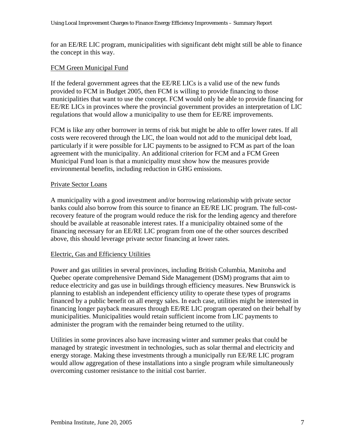<span id="page-9-0"></span>for an EE/RE LIC program, municipalities with significant debt might still be able to finance the concept in this way.

#### FCM Green Municipal Fund

If the federal government agrees that the EE/RE LICs is a valid use of the new funds provided to FCM in Budget 2005, then FCM is willing to provide financing to those municipalities that want to use the concept. FCM would only be able to provide financing for EE/RE LICs in provinces where the provincial government provides an interpretation of LIC regulations that would allow a municipality to use them for EE/RE improvements.

FCM is like any other borrower in terms of risk but might be able to offer lower rates. If all costs were recovered through the LIC, the loan would not add to the municipal debt load, particularly if it were possible for LIC payments to be assigned to FCM as part of the loan agreement with the municipality. An additional criterion for FCM and a FCM Green Municipal Fund loan is that a municipality must show how the measures provide environmental benefits, including reduction in GHG emissions.

#### Private Sector Loans

A municipality with a good investment and/or borrowing relationship with private sector banks could also borrow from this source to finance an EE/RE LIC program. The full-costrecovery feature of the program would reduce the risk for the lending agency and therefore should be available at reasonable interest rates. If a municipality obtained some of the financing necessary for an EE/RE LIC program from one of the other sources described above, this should leverage private sector financing at lower rates.

#### Electric, Gas and Efficiency Utilities

Power and gas utilities in several provinces, including British Columbia, Manitoba and Quebec operate comprehensive Demand Side Management (DSM) programs that aim to reduce electricity and gas use in buildings through efficiency measures. New Brunswick is planning to establish an independent efficiency utility to operate these types of programs financed by a public benefit on all energy sales. In each case, utilities might be interested in financing longer payback measures through EE/RE LIC program operated on their behalf by municipalities. Municipalities would retain sufficient income from LIC payments to administer the program with the remainder being returned to the utility.

Utilities in some provinces also have increasing winter and summer peaks that could be managed by strategic investment in technologies, such as solar thermal and electricity and energy storage. Making these investments through a municipally run EE/RE LIC program would allow aggregation of these installations into a single program while simultaneously overcoming customer resistance to the initial cost barrier.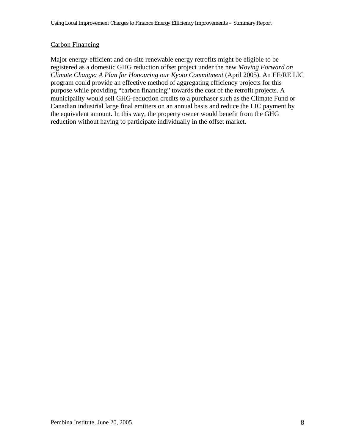#### <span id="page-10-0"></span>Carbon Financing

Major energy-efficient and on-site renewable energy retrofits might be eligible to be registered as a domestic GHG reduction offset project under the new *Moving Forward on Climate Change: A Plan for Honouring our Kyoto Commitment* (April 2005). An EE/RE LIC program could provide an effective method of aggregating efficiency projects for this purpose while providing "carbon financing" towards the cost of the retrofit projects. A municipality would sell GHG-reduction credits to a purchaser such as the Climate Fund or Canadian industrial large final emitters on an annual basis and reduce the LIC payment by the equivalent amount. In this way, the property owner would benefit from the GHG reduction without having to participate individually in the offset market.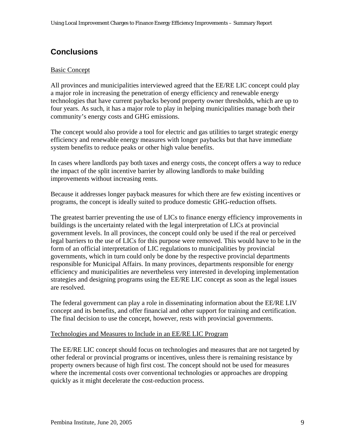# <span id="page-11-0"></span>**Conclusions**

#### **Basic Concept**

All provinces and municipalities interviewed agreed that the EE/RE LIC concept could play a major role in increasing the penetration of energy efficiency and renewable energy technologies that have current paybacks beyond property owner thresholds, which are up to four years. As such, it has a major role to play in helping municipalities manage both their community's energy costs and GHG emissions.

The concept would also provide a tool for electric and gas utilities to target strategic energy efficiency and renewable energy measures with longer paybacks but that have immediate system benefits to reduce peaks or other high value benefits.

In cases where landlords pay both taxes and energy costs, the concept offers a way to reduce the impact of the split incentive barrier by allowing landlords to make building improvements without increasing rents.

Because it addresses longer payback measures for which there are few existing incentives or programs, the concept is ideally suited to produce domestic GHG-reduction offsets.

The greatest barrier preventing the use of LICs to finance energy efficiency improvements in buildings is the uncertainty related with the legal interpretation of LICs at provincial government levels. In all provinces, the concept could only be used if the real or perceived legal barriers to the use of LICs for this purpose were removed. This would have to be in the form of an official interpretation of LIC regulations to municipalities by provincial governments, which in turn could only be done by the respective provincial departments responsible for Municipal Affairs. In many provinces, departments responsible for energy efficiency and municipalities are nevertheless very interested in developing implementation strategies and designing programs using the EE/RE LIC concept as soon as the legal issues are resolved.

The federal government can play a role in disseminating information about the EE/RE LIV concept and its benefits, and offer financial and other support for training and certification. The final decision to use the concept, however, rests with provincial governments.

#### Technologies and Measures to Include in an EE/RE LIC Program

The EE/RE LIC concept should focus on technologies and measures that are not targeted by other federal or provincial programs or incentives, unless there is remaining resistance by property owners because of high first cost. The concept should not be used for measures where the incremental costs over conventional technologies or approaches are dropping quickly as it might decelerate the cost-reduction process.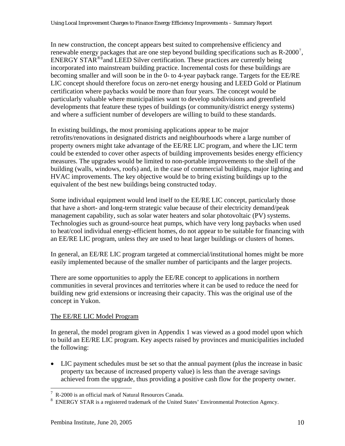<span id="page-12-0"></span>In new construction, the concept appears best suited to comprehensive efficiency and renewable energy packages that are one step beyond building specifications such as  $R-2000^7$  $R-2000^7$ , ENERGY STAR<sup>®[8](#page-12-0)</sup> and LEED Silver certification. These practices are currently being incorporated into mainstream building practice. Incremental costs for these buildings are becoming smaller and will soon be in the 0- to 4-year payback range. Targets for the EE/RE LIC concept should therefore focus on zero-net energy housing and LEED Gold or Platinum certification where paybacks would be more than four years. The concept would be particularly valuable where municipalities want to develop subdivisions and greenfield developments that feature these types of buildings (or community/district energy systems) and where a sufficient number of developers are willing to build to these standards.

In existing buildings, the most promising applications appear to be major retrofits/renovations in designated districts and neighbourhoods where a large number of property owners might take advantage of the EE/RE LIC program, and where the LIC term could be extended to cover other aspects of building improvements besides energy efficiency measures. The upgrades would be limited to non-portable improvements to the shell of the building (walls, windows, roofs) and, in the case of commercial buildings, major lighting and HVAC improvements. The key objective would be to bring existing buildings up to the equivalent of the best new buildings being constructed today.

Some individual equipment would lend itself to the EE/RE LIC concept, particularly those that have a short- and long-term strategic value because of their electricity demand/peak management capability, such as solar water heaters and solar photovoltaic (PV) systems. Technologies such as ground-source heat pumps, which have very long paybacks when used to heat/cool individual energy-efficient homes, do not appear to be suitable for financing with an EE/RE LIC program, unless they are used to heat larger buildings or clusters of homes.

In general, an EE/RE LIC program targeted at commercial/institutional homes might be more easily implemented because of the smaller number of participants and the larger projects.

There are some opportunities to apply the EE/RE concept to applications in northern communities in several provinces and territories where it can be used to reduce the need for building new grid extensions or increasing their capacity. This was the original use of the concept in Yukon.

#### The EE/RE LIC Model Program

In general, the model program given in Appendix 1 was viewed as a good model upon which to build an EE/RE LIC program. Key aspects raised by provinces and municipalities included the following:

• LIC payment schedules must be set so that the annual payment (plus the increase in basic property tax because of increased property value) is less than the average savings achieved from the upgrade, thus providing a positive cash flow for the property owner.

 $\overline{a}$ 

<sup>7</sup> R-2000 is an official mark of Natural Resources Canada.

 $8$  ENERGY STAR is a registered trademark of the United States' Environmental Protection Agency.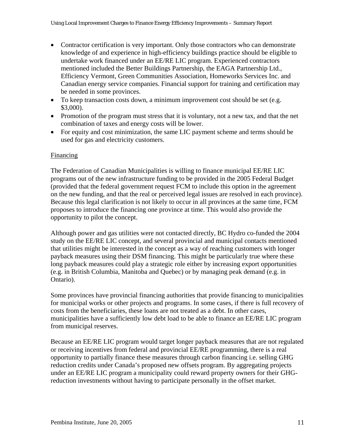- <span id="page-13-0"></span>• Contractor certification is very important. Only those contractors who can demonstrate knowledge of and experience in high-efficiency buildings practice should be eligible to undertake work financed under an EE/RE LIC program. Experienced contractors mentioned included the Better Buildings Partnership, the EAGA Partnership Ltd., Efficiency Vermont, Green Communities Association, Homeworks Services Inc. and Canadian energy service companies. Financial support for training and certification may be needed in some provinces.
- To keep transaction costs down, a minimum improvement cost should be set (e.g. \$3,000).
- Promotion of the program must stress that it is voluntary, not a new tax, and that the net combination of taxes and energy costs will be lower.
- For equity and cost minimization, the same LIC payment scheme and terms should be used for gas and electricity customers.

#### Financing

The Federation of Canadian Municipalities is willing to finance municipal EE/RE LIC programs out of the new infrastructure funding to be provided in the 2005 Federal Budget (provided that the federal government request FCM to include this option in the agreement on the new funding, and that the real or perceived legal issues are resolved in each province). Because this legal clarification is not likely to occur in all provinces at the same time, FCM proposes to introduce the financing one province at time. This would also provide the opportunity to pilot the concept.

Although power and gas utilities were not contacted directly, BC Hydro co-funded the 2004 study on the EE/RE LIC concept, and several provincial and municipal contacts mentioned that utilities might be interested in the concept as a way of reaching customers with longer payback measures using their DSM financing. This might be particularly true where these long payback measures could play a strategic role either by increasing export opportunities (e.g. in British Columbia, Manitoba and Quebec) or by managing peak demand (e.g. in Ontario).

Some provinces have provincial financing authorities that provide financing to municipalities for municipal works or other projects and programs. In some cases, if there is full recovery of costs from the beneficiaries, these loans are not treated as a debt. In other cases, municipalities have a sufficiently low debt load to be able to finance an EE/RE LIC program from municipal reserves.

Because an EE/RE LIC program would target longer payback measures that are not regulated or receiving incentives from federal and provincial EE/RE programming, there is a real opportunity to partially finance these measures through carbon financing i.e. selling GHG reduction credits under Canada's proposed new offsets program. By aggregating projects under an EE/RE LIC program a municipality could reward property owners for their GHGreduction investments without having to participate personally in the offset market.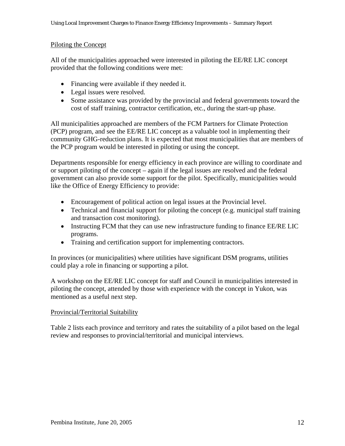#### <span id="page-14-0"></span>Piloting the Concept

All of the municipalities approached were interested in piloting the EE/RE LIC concept provided that the following conditions were met:

- Financing were available if they needed it.
- Legal issues were resolved.
- Some assistance was provided by the provincial and federal governments toward the cost of staff training, contractor certification, etc., during the start-up phase.

All municipalities approached are members of the FCM Partners for Climate Protection (PCP) program, and see the EE/RE LIC concept as a valuable tool in implementing their community GHG-reduction plans. It is expected that most municipalities that are members of the PCP program would be interested in piloting or using the concept.

Departments responsible for energy efficiency in each province are willing to coordinate and or support piloting of the concept – again if the legal issues are resolved and the federal government can also provide some support for the pilot. Specifically, municipalities would like the Office of Energy Efficiency to provide:

- Encouragement of political action on legal issues at the Provincial level.
- Technical and financial support for piloting the concept (e.g. municipal staff training and transaction cost monitoring).
- Instructing FCM that they can use new infrastructure funding to finance EE/RE LIC programs.
- Training and certification support for implementing contractors.

In provinces (or municipalities) where utilities have significant DSM programs, utilities could play a role in financing or supporting a pilot.

A workshop on the EE/RE LIC concept for staff and Council in municipalities interested in piloting the concept, attended by those with experience with the concept in Yukon, was mentioned as a useful next step.

#### Provincial/Territorial Suitability

Table 2 lists each province and territory and rates the suitability of a pilot based on the legal review and responses to provincial/territorial and municipal interviews.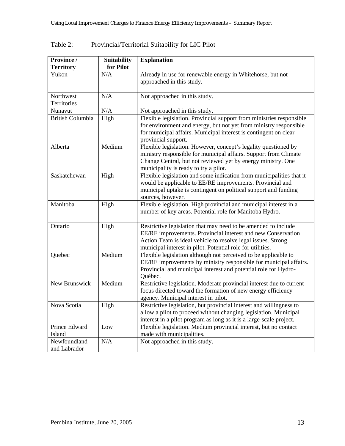| Province /                   | Suitability | <b>Explanation</b>                                                                                                                                                                                                                                           |
|------------------------------|-------------|--------------------------------------------------------------------------------------------------------------------------------------------------------------------------------------------------------------------------------------------------------------|
| <b>Territory</b>             | for Pilot   |                                                                                                                                                                                                                                                              |
| Yukon                        | N/A         | Already in use for renewable energy in Whitehorse, but not<br>approached in this study.                                                                                                                                                                      |
| Northwest<br>Territories     | N/A         | Not approached in this study.                                                                                                                                                                                                                                |
| Nunavut                      | N/A         | Not approached in this study.                                                                                                                                                                                                                                |
| <b>British Columbia</b>      | High        | Flexible legislation. Provincial support from ministries responsible<br>for environment and energy, but not yet from ministry responsible<br>for municipal affairs. Municipal interest is contingent on clear<br>provincial support.                         |
| Alberta                      | Medium      | Flexible legislation. However, concept's legality questioned by<br>ministry responsible for municipal affairs. Support from Climate<br>Change Central, but not reviewed yet by energy ministry. One<br>municipality is ready to try a pilot.                 |
| Saskatchewan                 | High        | Flexible legislation and some indication from municipalities that it<br>would be applicable to EE/RE improvements. Provincial and<br>municipal uptake is contingent on political support and funding<br>sources, however.                                    |
| Manitoba                     | High        | Flexible legislation. High provincial and municipal interest in a<br>number of key areas. Potential role for Manitoba Hydro.                                                                                                                                 |
| Ontario                      | High        | Restrictive legislation that may need to be amended to include<br>EE/RE improvements. Provincial interest and new Conservation<br>Action Team is ideal vehicle to resolve legal issues. Strong<br>municipal interest in pilot. Potential role for utilities. |
| Quebec                       | Medium      | Flexible legislation although not perceived to be applicable to<br>EE/RE improvements by ministry responsible for municipal affairs.<br>Provincial and municipal interest and potential role for Hydro-<br>Québec.                                           |
| New Brunswick                | Medium      | Restrictive legislation. Moderate provincial interest due to current<br>focus directed toward the formation of new energy efficiency<br>agency. Municipal interest in pilot.                                                                                 |
| Nova Scotia                  | High        | Restrictive legislation, but provincial interest and willingness to<br>allow a pilot to proceed without changing legislation. Municipal<br>interest in a pilot program as long as it is a large-scale project.                                               |
| Prince Edward<br>Island      | Low         | Flexible legislation. Medium provincial interest, but no contact<br>made with municipalities.                                                                                                                                                                |
| Newfoundland<br>and Labrador | N/A         | Not approached in this study.                                                                                                                                                                                                                                |

### Table 2: Provincial/Territorial Suitability for LIC Pilot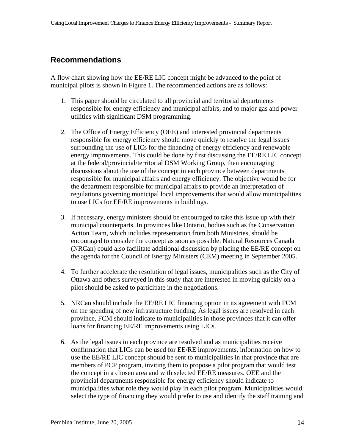### <span id="page-16-0"></span>**Recommendations**

A flow chart showing how the EE/RE LIC concept might be advanced to the point of municipal pilots is shown in Figure 1. The recommended actions are as follows:

- 1. This paper should be circulated to all provincial and territorial departments responsible for energy efficiency and municipal affairs, and to major gas and power utilities with significant DSM programming.
- 2. The Office of Energy Efficiency (OEE) and interested provincial departments responsible for energy efficiency should move quickly to resolve the legal issues surrounding the use of LICs for the financing of energy efficiency and renewable energy improvements. This could be done by first discussing the EE/RE LIC concept at the federal/provincial/territorial DSM Working Group, then encouraging discussions about the use of the concept in each province between departments responsible for municipal affairs and energy efficiency. The objective would be for the department responsible for municipal affairs to provide an interpretation of regulations governing municipal local improvements that would allow municipalities to use LICs for EE/RE improvements in buildings.
- 3. If necessary, energy ministers should be encouraged to take this issue up with their municipal counterparts. In provinces like Ontario, bodies such as the Conservation Action Team, which includes representation from both Ministries, should be encouraged to consider the concept as soon as possible. Natural Resources Canada (NRCan) could also facilitate additional discussion by placing the EE/RE concept on the agenda for the Council of Energy Ministers (CEM) meeting in September 2005.
- 4. To further accelerate the resolution of legal issues, municipalities such as the City of Ottawa and others surveyed in this study that are interested in moving quickly on a pilot should be asked to participate in the negotiations.
- 5. NRCan should include the EE/RE LIC financing option in its agreement with FCM on the spending of new infrastructure funding. As legal issues are resolved in each province, FCM should indicate to municipalities in those provinces that it can offer loans for financing EE/RE improvements using LICs.
- 6. As the legal issues in each province are resolved and as municipalities receive confirmation that LICs can be used for EE/RE improvements, information on how to use the EE/RE LIC concept should be sent to municipalities in that province that are members of PCP program, inviting them to propose a pilot program that would test the concept in a chosen area and with selected EE/RE measures. OEE and the provincial departments responsible for energy efficiency should indicate to municipalities what role they would play in each pilot program. Municipalities would select the type of financing they would prefer to use and identify the staff training and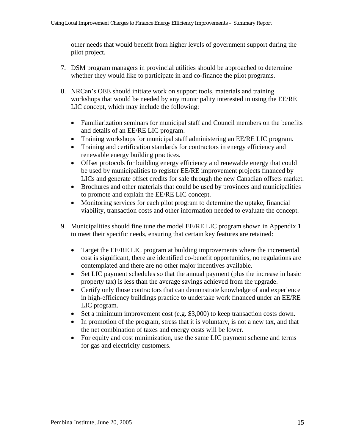other needs that would benefit from higher levels of government support during the pilot project.

- 7. DSM program managers in provincial utilities should be approached to determine whether they would like to participate in and co-finance the pilot programs.
- 8. NRCan's OEE should initiate work on support tools, materials and training workshops that would be needed by any municipality interested in using the EE/RE LIC concept, which may include the following:
	- Familiarization seminars for municipal staff and Council members on the benefits and details of an EE/RE LIC program.
	- Training workshops for municipal staff administering an EE/RE LIC program.
	- Training and certification standards for contractors in energy efficiency and renewable energy building practices.
	- Offset protocols for building energy efficiency and renewable energy that could be used by municipalities to register EE/RE improvement projects financed by LICs and generate offset credits for sale through the new Canadian offsets market.
	- Brochures and other materials that could be used by provinces and municipalities to promote and explain the EE/RE LIC concept.
	- Monitoring services for each pilot program to determine the uptake, financial viability, transaction costs and other information needed to evaluate the concept.
- 9. Municipalities should fine tune the model EE/RE LIC program shown in Appendix 1 to meet their specific needs, ensuring that certain key features are retained:
	- Target the EE/RE LIC program at building improvements where the incremental cost is significant, there are identified co-benefit opportunities, no regulations are contemplated and there are no other major incentives available.
	- Set LIC payment schedules so that the annual payment (plus the increase in basic property tax) is less than the average savings achieved from the upgrade.
	- Certify only those contractors that can demonstrate knowledge of and experience in high-efficiency buildings practice to undertake work financed under an EE/RE LIC program.
	- Set a minimum improvement cost (e.g. \$3,000) to keep transaction costs down.
	- In promotion of the program, stress that it is voluntary, is not a new tax, and that the net combination of taxes and energy costs will be lower.
	- For equity and cost minimization, use the same LIC payment scheme and terms for gas and electricity customers.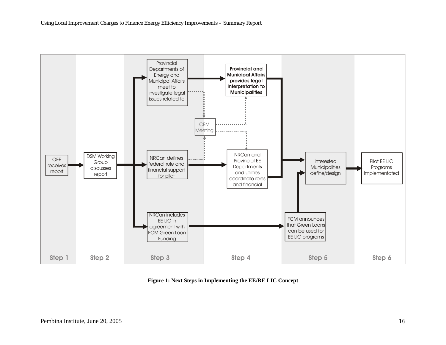

**Figure 1: Next Steps in Implementing the EE/RE LIC Concept**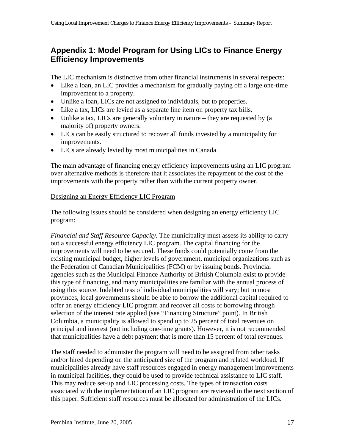### <span id="page-19-0"></span>**Appendix 1: Model Program for Using LICs to Finance Energy Efficiency Improvements**

The LIC mechanism is distinctive from other financial instruments in several respects:

- Like a loan, an LIC provides a mechanism for gradually paying off a large one-time improvement to a property.
- Unlike a loan, LICs are not assigned to individuals, but to properties.
- Like a tax, LICs are levied as a separate line item on property tax bills.
- Unlike a tax, LICs are generally voluntary in nature they are requested by (a majority of) property owners.
- LICs can be easily structured to recover all funds invested by a municipality for improvements.
- LICs are already levied by most municipalities in Canada.

The main advantage of financing energy efficiency improvements using an LIC program over alternative methods is therefore that it associates the repayment of the cost of the improvements with the property rather than with the current property owner.

#### Designing an Energy Efficiency LIC Program

The following issues should be considered when designing an energy efficiency LIC program:

*Financial and Staff Resource Capacity.* The municipality must assess its ability to carry out a successful energy efficiency LIC program. The capital financing for the improvements will need to be secured. These funds could potentially come from the existing municipal budget, higher levels of government, municipal organizations such as the Federation of Canadian Municipalities (FCM) or by issuing bonds. Provincial agencies such as the Municipal Finance Authority of British Columbia exist to provide this type of financing, and many municipalities are familiar with the annual process of using this source. Indebtedness of individual municipalities will vary; but in most provinces, local governments should be able to borrow the additional capital required to offer an energy efficiency LIC program and recover all costs of borrowing through selection of the interest rate applied (see "Financing Structure" point). In British Columbia, a municipality is allowed to spend up to 25 percent of total revenues on principal and interest (not including one-time grants). However, it is not recommended that municipalities have a debt payment that is more than 15 percent of total revenues.

The staff needed to administer the program will need to be assigned from other tasks and/or hired depending on the anticipated size of the program and related workload. If municipalities already have staff resources engaged in energy management improvements in municipal facilities, they could be used to provide technical assistance to LIC staff. This may reduce set-up and LIC processing costs. The types of transaction costs associated with the implementation of an LIC program are reviewed in the next section of this paper. Sufficient staff resources must be allocated for administration of the LICs.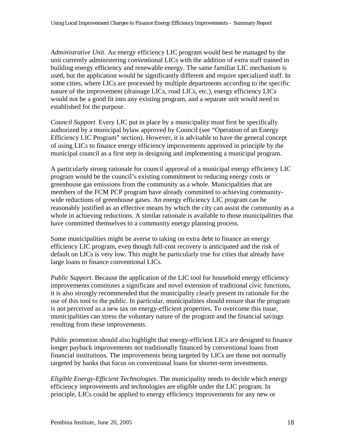*Administrative Unit.* An energy efficiency LIC program would best be managed by the unit currently administering conventional LICs with the addition of extra staff trained in building energy efficiency and renewable energy. The same familiar LIC mechanism is used, but the application would be significantly different and require specialized staff. In some cities, where LICs are processed by multiple departments according to the specific nature of the improvement (drainage LICs, road LICs, etc.), energy efficiency LICs would not be a good fit into any existing program, and a separate unit would need to established for the purpose.

*Council Support*. Every LIC put in place by a municipality must first be specifically authorized by a municipal bylaw approved by Council (see "Operation of an Energy Efficiency LIC Program" section). However, it is advisable to have the general concept of using LICs to finance energy efficiency improvements approved in principle by the municipal council as a first step in designing and implementing a municipal program.

A particularly strong rationale for council approval of a municipal energy efficiency LIC program would be the council's existing commitment to reducing energy costs or greenhouse gas emissions from the community as a whole. Municipalities that are members of the FCM PCP program have already committed to achieving communitywide reductions of greenhouse gases. An energy efficiency LIC program can be reasonably justified as an effective means by which the city can assist the community as a whole in achieving reductions. A similar rationale is available to those municipalities that have committed themselves to a community energy planning process.

Some municipalities might be averse to taking on extra debt to finance an energy efficiency LIC program, even though full-cost recovery is anticipated and the risk of default on LICs is very low. This might be particularly true for cities that already have large loans to finance conventional LICs.

*Public Support.* Because the application of the LIC tool for household energy efficiency improvements constitutes a significant and novel extension of traditional civic functions, it is also strongly recommended that the municipality clearly present its rationale for the use of this tool to the public. In particular, municipalities should ensure that the program is not perceived as a new tax on energy-efficient properties. To overcome this issue, municipalities can stress the voluntary nature of the program and the financial savings resulting from these improvements.

Public promotion should also highlight that energy-efficient LICs are designed to finance longer payback improvements not traditionally financed by conventional loans from financial institutions. The improvements being targeted by LICs are those not normally targeted by banks that focus on conventional loans for shorter-term investments.

*Eligible Energy-Efficient Technologies*. The municipality needs to decide which energy efficiency improvements and technologies are eligible under the LIC program. In principle, LICs could be applied to energy efficiency improvements for any new or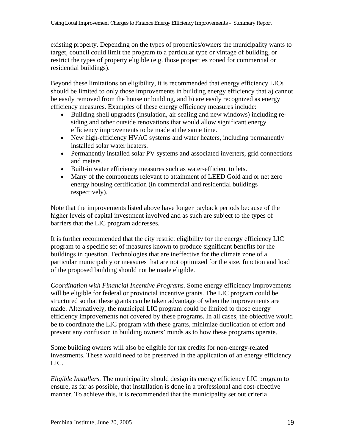existing property. Depending on the types of properties/owners the municipality wants to target, council could limit the program to a particular type or vintage of building, or restrict the types of property eligible (e.g. those properties zoned for commercial or residential buildings).

Beyond these limitations on eligibility, it is recommended that energy efficiency LICs should be limited to only those improvements in building energy efficiency that a) cannot be easily removed from the house or building, and b) are easily recognized as energy efficiency measures. Examples of these energy efficiency measures include:

- Building shell upgrades (insulation, air sealing and new windows) including residing and other outside renovations that would allow significant energy efficiency improvements to be made at the same time.
- New high-efficiency HVAC systems and water heaters, including permanently installed solar water heaters.
- Permanently installed solar PV systems and associated inverters, grid connections and meters.
- Built-in water efficiency measures such as water-efficient toilets.
- Many of the components relevant to attainment of LEED Gold and or net zero energy housing certification (in commercial and residential buildings respectively).

Note that the improvements listed above have longer payback periods because of the higher levels of capital investment involved and as such are subject to the types of barriers that the LIC program addresses.

It is further recommended that the city restrict eligibility for the energy efficiency LIC program to a specific set of measures known to produce significant benefits for the buildings in question. Technologies that are ineffective for the climate zone of a particular municipality or measures that are not optimized for the size, function and load of the proposed building should not be made eligible.

*Coordination with Financial Incentive Programs.* Some energy efficiency improvements will be eligible for federal or provincial incentive grants. The LIC program could be structured so that these grants can be taken advantage of when the improvements are made. Alternatively, the municipal LIC program could be limited to those energy efficiency improvements not covered by these programs. In all cases, the objective would be to coordinate the LIC program with these grants, minimize duplication of effort and prevent any confusion in building owners' minds as to how these programs operate.

Some building owners will also be eligible for tax credits for non-energy-related investments. These would need to be preserved in the application of an energy efficiency LIC.

*Eligible Installers.* The municipality should design its energy efficiency LIC program to ensure, as far as possible, that installation is done in a professional and cost-effective manner. To achieve this, it is recommended that the municipality set out criteria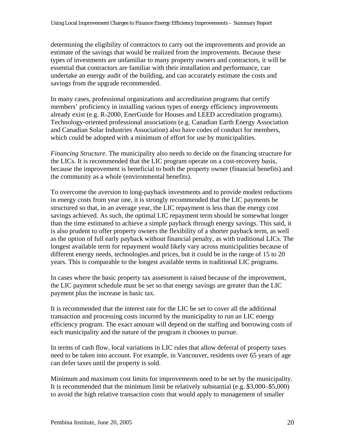determining the eligibility of contractors to carry out the improvements and provide an estimate of the savings that would be realized from the improvements. Because these types of investments are unfamiliar to many property owners and contractors, it will be essential that contractors are familiar with their installation and performance, can undertake an energy audit of the building, and can accurately estimate the costs and savings from the upgrade recommended.

In many cases, professional organizations and accreditation programs that certify members' proficiency in installing various types of energy efficiency improvements already exist (e.g. R-2000, EnerGuide for Houses and LEED accreditation programs). Technology-oriented professional associations (e.g. Canadian Earth Energy Association and Canadian Solar Industries Association) also have codes of conduct for members, which could be adopted with a minimum of effort for use by municipalities.

*Financing Structure*. The municipality also needs to decide on the financing structure for the LICs. It is recommended that the LIC program operate on a cost-recovery basis, because the improvement is beneficial to both the property owner (financial benefits) and the community as a whole (environmental benefits).

To overcome the aversion to long-payback investments and to provide modest reductions in energy costs from year one, it is strongly recommended that the LIC payments be structured so that, in an average year, the LIC repayment is less than the energy cost savings achieved. As such, the optimal LIC repayment term should be somewhat longer than the time estimated to achieve a simple payback through energy savings. This said, it is also prudent to offer property owners the flexibility of a shorter payback term, as well as the option of full early payback without financial penalty, as with traditional LICs. The longest available term for repayment would likely vary across municipalities because of different energy needs, technologies and prices, but it could be in the range of 15 to 20 years. This is comparable to the longest available terms in traditional LIC programs.

In cases where the basic property tax assessment is raised because of the improvement, the LIC payment schedule must be set so that energy savings are greater than the LIC payment plus the increase in basic tax.

It is recommended that the interest rate for the LIC be set to cover all the additional transaction and processing costs incurred by the municipality to run an LIC energy efficiency program. The exact amount will depend on the staffing and borrowing costs of each municipality and the nature of the program it chooses to pursue.

In terms of cash flow, local variations in LIC rules that allow deferral of property taxes need to be taken into account. For example, in Vancouver, residents over 65 years of age can defer taxes until the property is sold.

Minimum and maximum cost limits for improvements need to be set by the municipality. It is recommended that the minimum limit be relatively substantial (e.g. \$3,000–\$5,000) to avoid the high relative transaction costs that would apply to management of smaller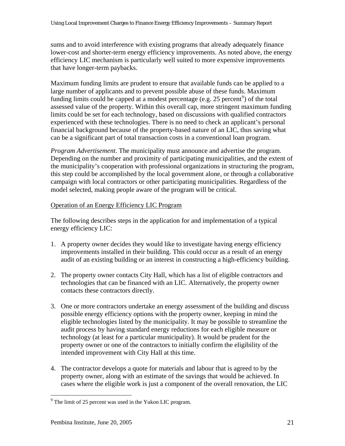<span id="page-23-0"></span>sums and to avoid interference with existing programs that already adequately finance lower-cost and shorter-term energy efficiency improvements. As noted above, the energy efficiency LIC mechanism is particularly well suited to more expensive improvements that have longer-term paybacks.

Maximum funding limits are prudent to ensure that available funds can be applied to a large number of applicants and to prevent possible abuse of these funds. Maximum funding limits could be capped at a modest percentage (e.g.  $25$  percent<sup>[9](#page-23-0)</sup>) of the total assessed value of the property. Within this overall cap, more stringent maximum funding limits could be set for each technology, based on discussions with qualified contractors experienced with these technologies. There is no need to check an applicant's personal financial background because of the property-based nature of an LIC, thus saving what can be a significant part of total transaction costs in a conventional loan program.

*Program Advertisement*. The municipality must announce and advertise the program. Depending on the number and proximity of participating municipalities, and the extent of the municipality's cooperation with professional organizations in structuring the program, this step could be accomplished by the local government alone, or through a collaborative campaign with local contractors or other participating municipalities. Regardless of the model selected, making people aware of the program will be critical.

#### Operation of an Energy Efficiency LIC Program

The following describes steps in the application for and implementation of a typical energy efficiency LIC:

- 1. A property owner decides they would like to investigate having energy efficiency improvements installed in their building. This could occur as a result of an energy audit of an existing building or an interest in constructing a high-efficiency building.
- 2. The property owner contacts City Hall, which has a list of eligible contractors and technologies that can be financed with an LIC. Alternatively, the property owner contacts these contractors directly.
- 3. One or more contractors undertake an energy assessment of the building and discuss possible energy efficiency options with the property owner, keeping in mind the eligible technologies listed by the municipality. It may be possible to streamline the audit process by having standard energy reductions for each eligible measure or technology (at least for a particular municipality). It would be prudent for the property owner or one of the contractors to initially confirm the eligibility of the intended improvement with City Hall at this time.
- 4. The contractor develops a quote for materials and labour that is agreed to by the property owner, along with an estimate of the savings that would be achieved. In cases where the eligible work is just a component of the overall renovation, the LIC

 $\overline{a}$ 

 $9^9$  The limit of 25 percent was used in the Yukon LIC program.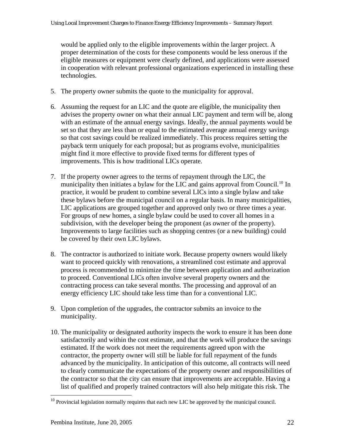<span id="page-24-0"></span>would be applied only to the eligible improvements within the larger project. A proper determination of the costs for these components would be less onerous if the eligible measures or equipment were clearly defined, and applications were assessed in cooperation with relevant professional organizations experienced in installing these technologies.

- 5. The property owner submits the quote to the municipality for approval.
- 6. Assuming the request for an LIC and the quote are eligible, the municipality then advises the property owner on what their annual LIC payment and term will be, along with an estimate of the annual energy savings. Ideally, the annual payments would be set so that they are less than or equal to the estimated average annual energy savings so that cost savings could be realized immediately. This process requires setting the payback term uniquely for each proposal; but as programs evolve, municipalities might find it more effective to provide fixed terms for different types of improvements. This is how traditional LICs operate.
- 7. If the property owner agrees to the terms of repayment through the LIC, the municipality then initiates a bylaw for the LIC and gains approval from Council.<sup>10</sup> In practice, it would be prudent to combine several LICs into a single bylaw and take these bylaws before the municipal council on a regular basis. In many municipalities, LIC applications are grouped together and approved only two or three times a year. For groups of new homes, a single bylaw could be used to cover all homes in a subdivision, with the developer being the proponent (as owner of the property). Improvements to large facilities such as shopping centres (or a new building) could be covered by their own LIC bylaws.
- 8. The contractor is authorized to initiate work. Because property owners would likely want to proceed quickly with renovations, a streamlined cost estimate and approval process is recommended to minimize the time between application and authorization to proceed. Conventional LICs often involve several property owners and the contracting process can take several months. The processing and approval of an energy efficiency LIC should take less time than for a conventional LIC.
- 9. Upon completion of the upgrades, the contractor submits an invoice to the municipality.
- 10. The municipality or designated authority inspects the work to ensure it has been done satisfactorily and within the cost estimate, and that the work will produce the savings estimated. If the work does not meet the requirements agreed upon with the contractor, the property owner will still be liable for full repayment of the funds advanced by the municipality. In anticipation of this outcome, all contracts will need to clearly communicate the expectations of the property owner and responsibilities of the contractor so that the city can ensure that improvements are acceptable. Having a list of qualified and properly trained contractors will also help mitigate this risk. The

<u>.</u>

 $10$  Provincial legislation normally requires that each new LIC be approved by the municipal council.